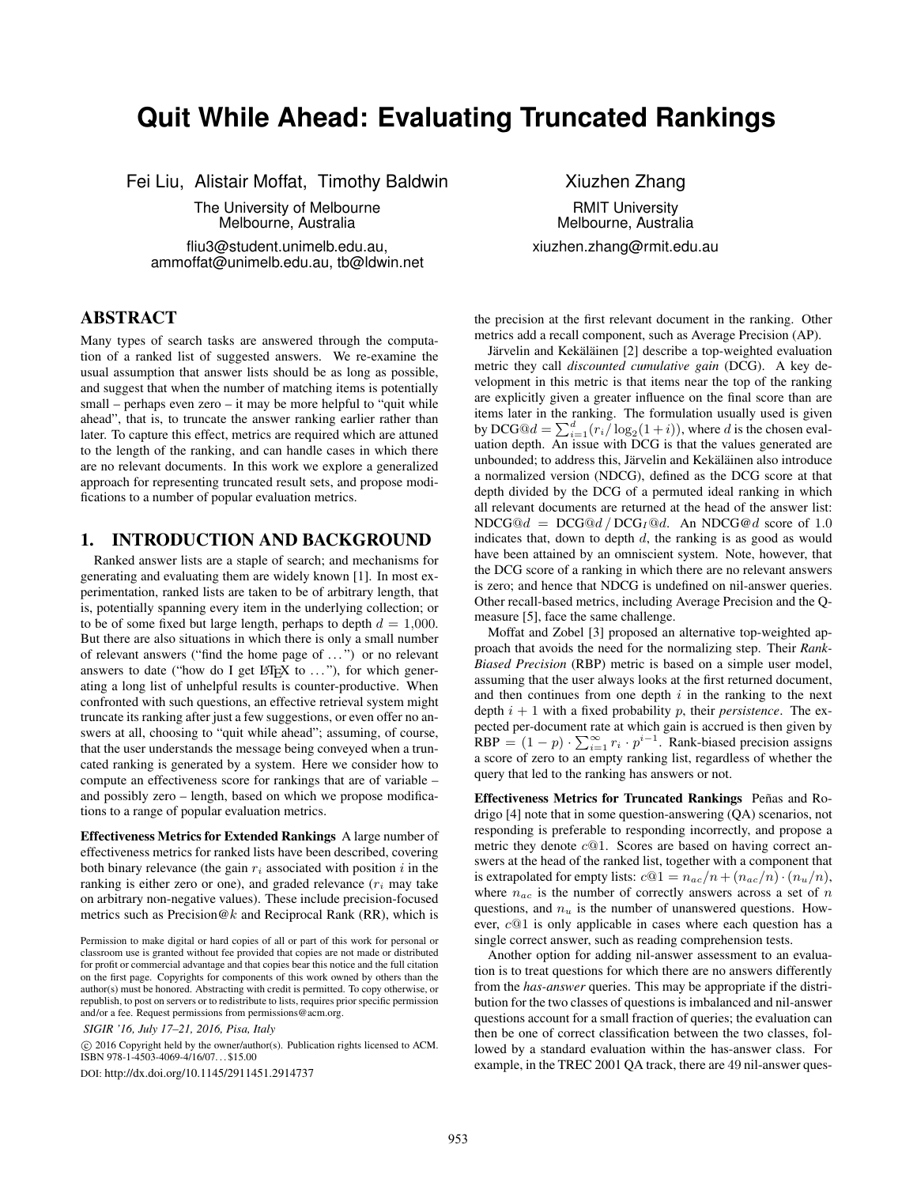# **Quit While Ahead: Evaluating Truncated Rankings**

Fei Liu, Alistair Moffat, Timothy Baldwin

The University of Melbourne Melbourne, Australia

fliu3@student.unimelb.edu.au, ammoffat@unimelb.edu.au, tb@ldwin.net

ABSTRACT

Many types of search tasks are answered through the computation of a ranked list of suggested answers. We re-examine the usual assumption that answer lists should be as long as possible, and suggest that when the number of matching items is potentially small – perhaps even zero – it may be more helpful to "quit while ahead", that is, to truncate the answer ranking earlier rather than later. To capture this effect, metrics are required which are attuned to the length of the ranking, and can handle cases in which there are no relevant documents. In this work we explore a generalized approach for representing truncated result sets, and propose modifications to a number of popular evaluation metrics.

### 1. INTRODUCTION AND BACKGROUND

Ranked answer lists are a staple of search; and mechanisms for generating and evaluating them are widely known [1]. In most experimentation, ranked lists are taken to be of arbitrary length, that is, potentially spanning every item in the underlying collection; or to be of some fixed but large length, perhaps to depth  $d = 1,000$ . But there are also situations in which there is only a small number of relevant answers ("find the home page of . . . ") or no relevant answers to date ("how do I get  $L^{\text{th}}$ EX to ..."), for which generating a long list of unhelpful results is counter-productive. When confronted with such questions, an effective retrieval system might truncate its ranking after just a few suggestions, or even offer no answers at all, choosing to "quit while ahead"; assuming, of course, that the user understands the message being conveyed when a truncated ranking is generated by a system. Here we consider how to compute an effectiveness score for rankings that are of variable – and possibly zero – length, based on which we propose modifications to a range of popular evaluation metrics.

Effectiveness Metrics for Extended Rankings A large number of effectiveness metrics for ranked lists have been described, covering both binary relevance (the gain  $r_i$  associated with position i in the ranking is either zero or one), and graded relevance  $(r<sub>i</sub>$  may take on arbitrary non-negative values). These include precision-focused metrics such as Precision@k and Reciprocal Rank (RR), which is

 c 2016 Copyright held by the owner/author(s). Publication rights licensed to ACM. ISBN 978-1-4503-4069-4/16/07. . . \$15.00

DOI: http://dx.doi.org/10.1145/2911451.2914737

Xiuzhen Zhang RMIT University Melbourne, Australia xiuzhen.zhang@rmit.edu.au

the precision at the first relevant document in the ranking. Other metrics add a recall component, such as Average Precision (AP).

Järvelin and Kekäläinen [2] describe a top-weighted evaluation metric they call *discounted cumulative gain* (DCG). A key development in this metric is that items near the top of the ranking are explicitly given a greater influence on the final score than are items later in the ranking. The formulation usually used is given by DCG $\mathcal{Q}d = \sum_{i=1}^{d} (r_i/\log_2(1+i))$ , where d is the chosen evaluation depth. An issue with DCG is that the values generated are unbounded; to address this, Järvelin and Kekäläinen also introduce a normalized version (NDCG), defined as the DCG score at that depth divided by the DCG of a permuted ideal ranking in which all relevant documents are returned at the head of the answer list:  $NDCG@d = DCG@d / DCG_I@d$ . An  $NDCG@d$  score of 1.0 indicates that, down to depth  $d$ , the ranking is as good as would have been attained by an omniscient system. Note, however, that the DCG score of a ranking in which there are no relevant answers is zero; and hence that NDCG is undefined on nil-answer queries. Other recall-based metrics, including Average Precision and the Qmeasure [5], face the same challenge.

Moffat and Zobel [3] proposed an alternative top-weighted approach that avoids the need for the normalizing step. Their *Rank-Biased Precision* (RBP) metric is based on a simple user model, assuming that the user always looks at the first returned document, and then continues from one depth  $i$  in the ranking to the next depth  $i + 1$  with a fixed probability p, their *persistence*. The expected per-document rate at which gain is accrued is then given by  $RBP = (1 - p) \cdot \sum_{i=1}^{\infty} r_i \cdot p^{i-1}$ . Rank-biased precision assigns a score of zero to an empty ranking list, regardless of whether the query that led to the ranking has answers or not.

Effectiveness Metrics for Truncated Rankings Peñas and Rodrigo [4] note that in some question-answering (QA) scenarios, not responding is preferable to responding incorrectly, and propose a metric they denote c@1. Scores are based on having correct answers at the head of the ranked list, together with a component that is extrapolated for empty lists:  $c@1 = n_{ac}/n + (n_{ac}/n) \cdot (n_u/n)$ , where  $n_{ac}$  is the number of correctly answers across a set of n questions, and  $n_u$  is the number of unanswered questions. However, c@1 is only applicable in cases where each question has a single correct answer, such as reading comprehension tests.

Another option for adding nil-answer assessment to an evaluation is to treat questions for which there are no answers differently from the *has-answer* queries. This may be appropriate if the distribution for the two classes of questions is imbalanced and nil-answer questions account for a small fraction of queries; the evaluation can then be one of correct classification between the two classes, followed by a standard evaluation within the has-answer class. For example, in the TREC 2001 QA track, there are 49 nil-answer ques-

Permission to make digital or hard copies of all or part of this work for personal or classroom use is granted without fee provided that copies are not made or distributed for profit or commercial advantage and that copies bear this notice and the full citation on the first page. Copyrights for components of this work owned by others than the author(s) must be honored. Abstracting with credit is permitted. To copy otherwise, or republish, to post on servers or to redistribute to lists, requires prior specific permission and/or a fee. Request permissions from permissions@acm.org.

*SIGIR '16, July 17–21, 2016, Pisa, Italy*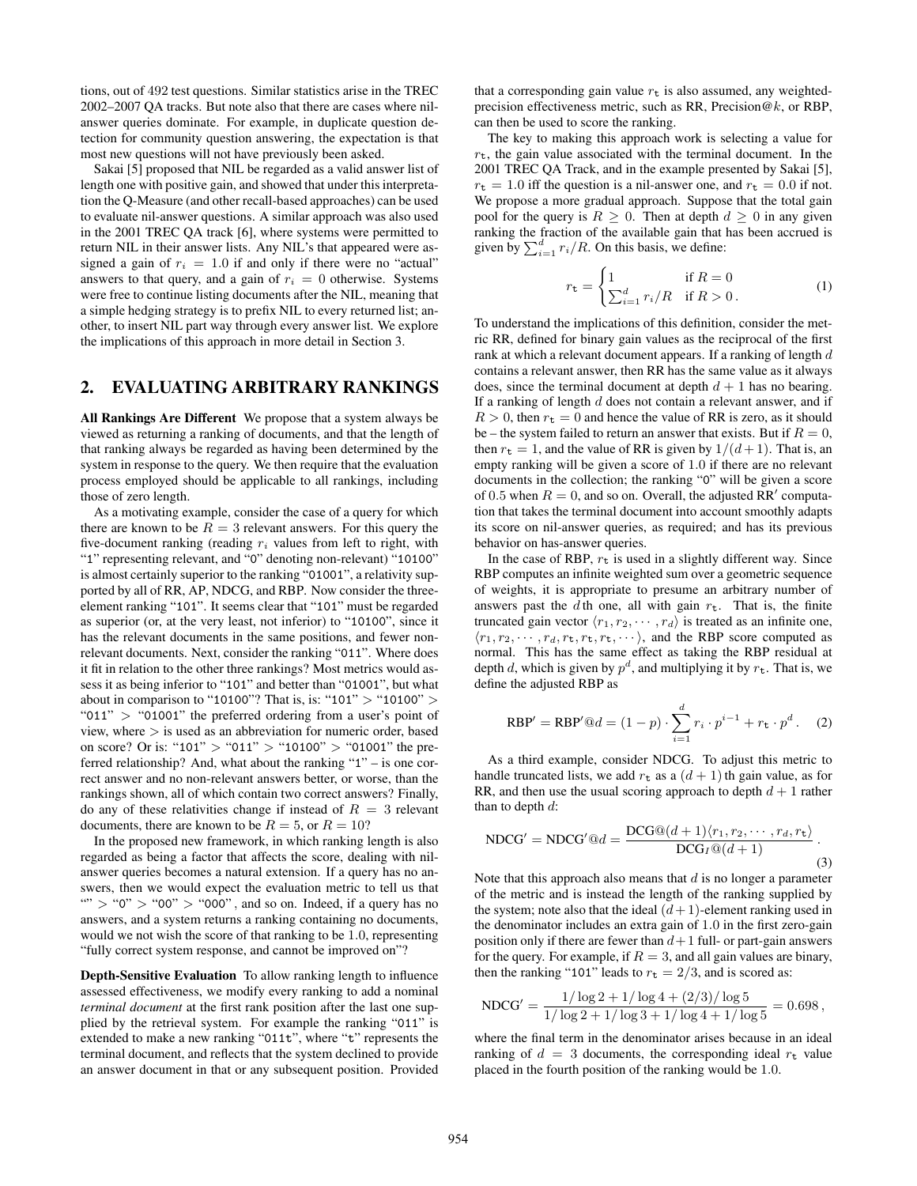tions, out of 492 test questions. Similar statistics arise in the TREC 2002–2007 QA tracks. But note also that there are cases where nilanswer queries dominate. For example, in duplicate question detection for community question answering, the expectation is that most new questions will not have previously been asked.

Sakai [5] proposed that NIL be regarded as a valid answer list of length one with positive gain, and showed that under this interpretation the Q-Measure (and other recall-based approaches) can be used to evaluate nil-answer questions. A similar approach was also used in the 2001 TREC QA track [6], where systems were permitted to return NIL in their answer lists. Any NIL's that appeared were assigned a gain of  $r_i = 1.0$  if and only if there were no "actual" answers to that query, and a gain of  $r_i = 0$  otherwise. Systems were free to continue listing documents after the NIL, meaning that a simple hedging strategy is to prefix NIL to every returned list; another, to insert NIL part way through every answer list. We explore the implications of this approach in more detail in Section 3.

# 2. EVALUATING ARBITRARY RANKINGS

All Rankings Are Different We propose that a system always be viewed as returning a ranking of documents, and that the length of that ranking always be regarded as having been determined by the system in response to the query. We then require that the evaluation process employed should be applicable to all rankings, including those of zero length.

As a motivating example, consider the case of a query for which there are known to be  $R = 3$  relevant answers. For this query the five-document ranking (reading  $r_i$  values from left to right, with "1" representing relevant, and "0" denoting non-relevant) "10100" is almost certainly superior to the ranking "01001", a relativity supported by all of RR, AP, NDCG, and RBP. Now consider the threeelement ranking "101". It seems clear that "101" must be regarded as superior (or, at the very least, not inferior) to "10100", since it has the relevant documents in the same positions, and fewer nonrelevant documents. Next, consider the ranking "011". Where does it fit in relation to the other three rankings? Most metrics would assess it as being inferior to "101" and better than "01001", but what about in comparison to "10100"? That is, is: "101" > "10100" > " $011"$  > "01001" the preferred ordering from a user's point of view, where  $>$  is used as an abbreviation for numeric order, based on score? Or is: "101" > "011" > "10100" > "01001" the preferred relationship? And, what about the ranking "1" – is one correct answer and no non-relevant answers better, or worse, than the rankings shown, all of which contain two correct answers? Finally, do any of these relativities change if instead of  $R = 3$  relevant documents, there are known to be  $R = 5$ , or  $R = 10$ ?

In the proposed new framework, in which ranking length is also regarded as being a factor that affects the score, dealing with nilanswer queries becomes a natural extension. If a query has no answers, then we would expect the evaluation metric to tell us that "" > "0" > "00" > "000", and so on. Indeed, if a query has no answers, and a system returns a ranking containing no documents, would we not wish the score of that ranking to be 1.0, representing "fully correct system response, and cannot be improved on"?

Depth-Sensitive Evaluation To allow ranking length to influence assessed effectiveness, we modify every ranking to add a nominal *terminal document* at the first rank position after the last one supplied by the retrieval system. For example the ranking "011" is extended to make a new ranking "011t", where "t" represents the terminal document, and reflects that the system declined to provide an answer document in that or any subsequent position. Provided that a corresponding gain value  $r_t$  is also assumed, any weightedprecision effectiveness metric, such as RR, Precision@k, or RBP, can then be used to score the ranking.

The key to making this approach work is selecting a value for  $r_t$ , the gain value associated with the terminal document. In the 2001 TREC QA Track, and in the example presented by Sakai [5],  $r_t = 1.0$  iff the question is a nil-answer one, and  $r_t = 0.0$  if not. We propose a more gradual approach. Suppose that the total gain pool for the query is  $R \geq 0$ . Then at depth  $d \geq 0$  in any given ranking the fraction of the available gain that has been accrued is given by  $\sum_{i=1}^{d} r_i/R$ . On this basis, we define:

$$
r_{\mathbf{t}} = \begin{cases} 1 & \text{if } R = 0 \\ \sum_{i=1}^{d} r_i / R & \text{if } R > 0. \end{cases}
$$
 (1)

To understand the implications of this definition, consider the metric RR, defined for binary gain values as the reciprocal of the first rank at which a relevant document appears. If a ranking of length d contains a relevant answer, then RR has the same value as it always does, since the terminal document at depth  $d + 1$  has no bearing. If a ranking of length  $d$  does not contain a relevant answer, and if  $R > 0$ , then  $r_t = 0$  and hence the value of RR is zero, as it should be – the system failed to return an answer that exists. But if  $R = 0$ , then  $r_t = 1$ , and the value of RR is given by  $1/(d+1)$ . That is, an empty ranking will be given a score of 1.0 if there are no relevant documents in the collection; the ranking "0" will be given a score of 0.5 when  $R = 0$ , and so on. Overall, the adjusted RR' computation that takes the terminal document into account smoothly adapts its score on nil-answer queries, as required; and has its previous behavior on has-answer queries.

In the case of RBP,  $r_t$  is used in a slightly different way. Since RBP computes an infinite weighted sum over a geometric sequence of weights, it is appropriate to presume an arbitrary number of answers past the d th one, all with gain  $r_t$ . That is, the finite truncated gain vector  $\langle r_1, r_2, \cdots, r_d \rangle$  is treated as an infinite one,  $\langle r_1, r_2, \cdots, r_d, r_t, r_t, r_t, \cdots \rangle$ , and the RBP score computed as normal. This has the same effect as taking the RBP residual at depth d, which is given by  $p^d$ , and multiplying it by  $r_t$ . That is, we define the adjusted RBP as

RBP' = RBP' @d = 
$$
(1 - p) \cdot \sum_{i=1}^{d} r_i \cdot p^{i-1} + r_{\mathbf{t}} \cdot p^d
$$
. (2)

As a third example, consider NDCG. To adjust this metric to handle truncated lists, we add  $r_t$  as a  $(d + 1)$  th gain value, as for RR, and then use the usual scoring approach to depth  $d + 1$  rather than to depth  $d$ :

$$
NDCG' = NDCG' @d = \frac{DCG@((d+1)(r_1, r_2, \cdots, r_d, r_t))}{DCG_I@((d+1))}.
$$
\n(3)

Note that this approach also means that  $d$  is no longer a parameter of the metric and is instead the length of the ranking supplied by the system; note also that the ideal  $(d+1)$ -element ranking used in the denominator includes an extra gain of 1.0 in the first zero-gain position only if there are fewer than  $d+1$  full- or part-gain answers for the query. For example, if  $R = 3$ , and all gain values are binary, then the ranking "101" leads to  $r_t = 2/3$ , and is scored as:

$$
NDCG' = \frac{1/\log 2 + 1/\log 4 + (2/3)/\log 5}{1/\log 2 + 1/\log 3 + 1/\log 4 + 1/\log 5} = 0.698,
$$

where the final term in the denominator arises because in an ideal ranking of  $d = 3$  documents, the corresponding ideal  $r_t$  value placed in the fourth position of the ranking would be 1.0.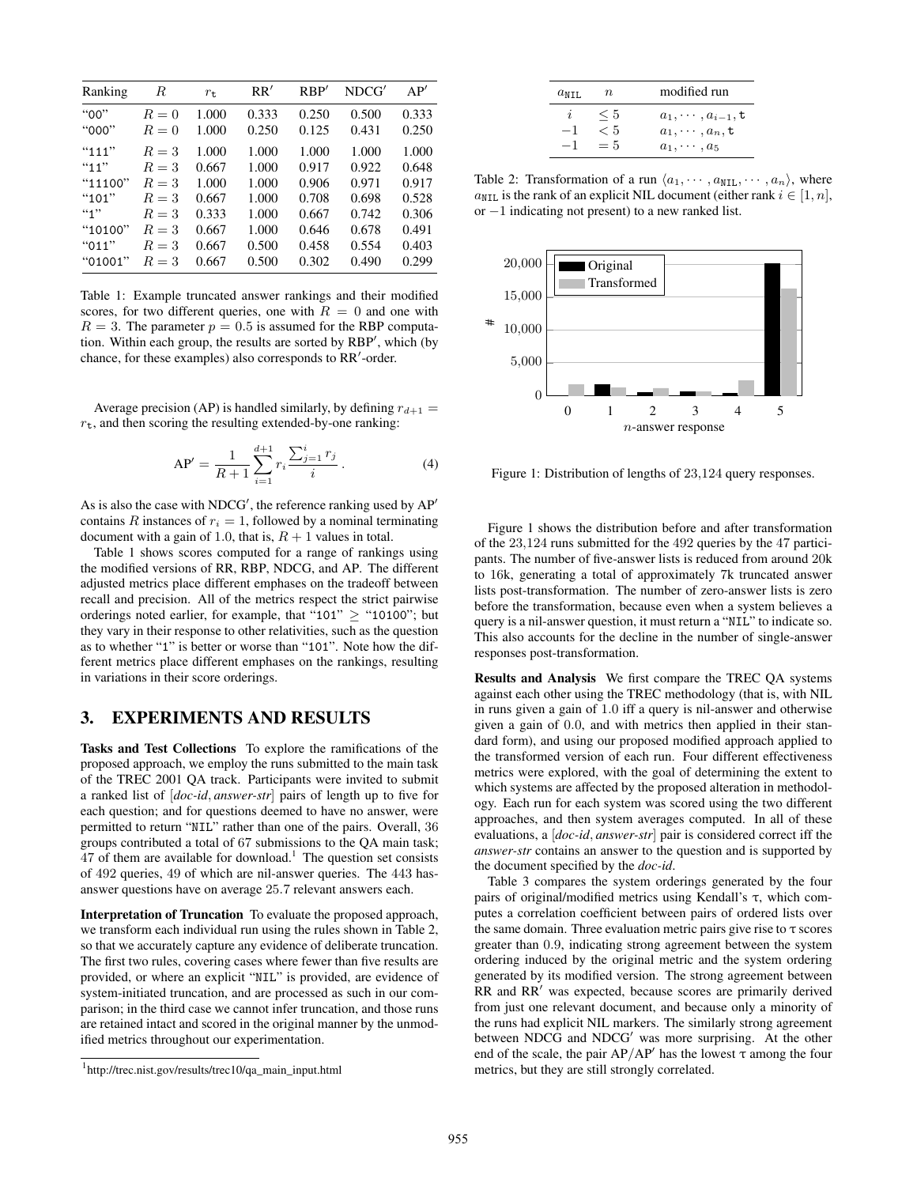| Ranking | R     | $r_{\rm t}$ | RR'   | RBP'  | NDCG' | AP'   |
|---------|-------|-------------|-------|-------|-------|-------|
| "00"    | $R=0$ | 1.000       | 0.333 | 0.250 | 0.500 | 0.333 |
| "000"   | $R=0$ | 1.000       | 0.250 | 0.125 | 0.431 | 0.250 |
| "111"   | $R=3$ | 1.000       | 1.000 | 1.000 | 1.000 | 1.000 |
| "11"    | $R=3$ | 0.667       | 1.000 | 0.917 | 0.922 | 0.648 |
| "11100" | $R=3$ | 1.000       | 1.000 | 0.906 | 0.971 | 0.917 |
| "101"   | $R=3$ | 0.667       | 1.000 | 0.708 | 0.698 | 0.528 |
| 4.1     | $R=3$ | 0.333       | 1.000 | 0.667 | 0.742 | 0.306 |
| "10100" | $R=3$ | 0.667       | 1.000 | 0.646 | 0.678 | 0.491 |
| "011"   | $R=3$ | 0.667       | 0.500 | 0.458 | 0.554 | 0.403 |
| "01001" | $R=3$ | 0.667       | 0.500 | 0.302 | 0.490 | 0.299 |

Table 1: Example truncated answer rankings and their modified scores, for two different queries, one with  $R = 0$  and one with  $R = 3$ . The parameter  $p = 0.5$  is assumed for the RBP computation. Within each group, the results are sorted by RBP', which (by chance, for these examples) also corresponds to RR'-order.

Average precision (AP) is handled similarly, by defining  $r_{d+1} =$  $r_{t}$ , and then scoring the resulting extended-by-one ranking:

$$
AP' = \frac{1}{R+1} \sum_{i=1}^{d+1} r_i \frac{\sum_{j=1}^i r_j}{i} .
$$
 (4)

As is also the case with NDCG', the reference ranking used by  $AP'$ contains R instances of  $r_i = 1$ , followed by a nominal terminating document with a gain of 1.0, that is,  $R + 1$  values in total.

Table 1 shows scores computed for a range of rankings using the modified versions of RR, RBP, NDCG, and AP. The different adjusted metrics place different emphases on the tradeoff between recall and precision. All of the metrics respect the strict pairwise orderings noted earlier, for example, that "101"  $\geq$  "10100"; but they vary in their response to other relativities, such as the question as to whether "1" is better or worse than "101". Note how the different metrics place different emphases on the rankings, resulting in variations in their score orderings.

## 3. EXPERIMENTS AND RESULTS

Tasks and Test Collections To explore the ramifications of the proposed approach, we employ the runs submitted to the main task of the TREC 2001 QA track. Participants were invited to submit a ranked list of [*doc-id*, *answer-str*] pairs of length up to five for each question; and for questions deemed to have no answer, were permitted to return "NIL" rather than one of the pairs. Overall, 36 groups contributed a total of 67 submissions to the QA main task;  $47$  of them are available for download.<sup>1</sup> The question set consists of 492 queries, 49 of which are nil-answer queries. The 443 hasanswer questions have on average 25.7 relevant answers each.

Interpretation of Truncation To evaluate the proposed approach, we transform each individual run using the rules shown in Table 2, so that we accurately capture any evidence of deliberate truncation. The first two rules, covering cases where fewer than five results are provided, or where an explicit "NIL" is provided, are evidence of system-initiated truncation, and are processed as such in our comparison; in the third case we cannot infer truncation, and those runs are retained intact and scored in the original manner by the unmodified metrics throughout our experimentation.

| $a$ nti. | n                       | modified run                                                                       |
|----------|-------------------------|------------------------------------------------------------------------------------|
| - 1      | $\leq 5$<br>< 5<br>$=5$ | $a_1, \cdots, a_{i-1}, \mathtt{t}$<br>$a_1, \cdots, a_n$ , t<br>$a_1, \cdots, a_5$ |

Table 2: Transformation of a run  $\langle a_1, \cdots, a_{NIL}, \cdots, a_n \rangle$ , where  $a_{\text{NIL}}$  is the rank of an explicit NIL document (either rank  $i \in [1, n]$ , or −1 indicating not present) to a new ranked list.



Figure 1: Distribution of lengths of 23,124 query responses.

Figure 1 shows the distribution before and after transformation of the 23,124 runs submitted for the 492 queries by the 47 participants. The number of five-answer lists is reduced from around 20k to 16k, generating a total of approximately 7k truncated answer lists post-transformation. The number of zero-answer lists is zero before the transformation, because even when a system believes a query is a nil-answer question, it must return a "NIL" to indicate so. This also accounts for the decline in the number of single-answer responses post-transformation.

Results and Analysis We first compare the TREC QA systems against each other using the TREC methodology (that is, with NIL in runs given a gain of 1.0 iff a query is nil-answer and otherwise given a gain of 0.0, and with metrics then applied in their standard form), and using our proposed modified approach applied to the transformed version of each run. Four different effectiveness metrics were explored, with the goal of determining the extent to which systems are affected by the proposed alteration in methodology. Each run for each system was scored using the two different approaches, and then system averages computed. In all of these evaluations, a [*doc-id*, *answer-str*] pair is considered correct iff the *answer-str* contains an answer to the question and is supported by the document specified by the *doc-id*.

Table 3 compares the system orderings generated by the four pairs of original/modified metrics using Kendall's τ, which computes a correlation coefficient between pairs of ordered lists over the same domain. Three evaluation metric pairs give rise to  $\tau$  scores greater than 0.9, indicating strong agreement between the system ordering induced by the original metric and the system ordering generated by its modified version. The strong agreement between  $RR$  and  $RR'$  was expected, because scores are primarily derived from just one relevant document, and because only a minority of the runs had explicit NIL markers. The similarly strong agreement between NDCG and NDCG<sup>'</sup> was more surprising. At the other end of the scale, the pair  $AP/AP'$  has the lowest  $\tau$  among the four metrics, but they are still strongly correlated.

<sup>1</sup> http://trec.nist.gov/results/trec10/qa\_main\_input.html